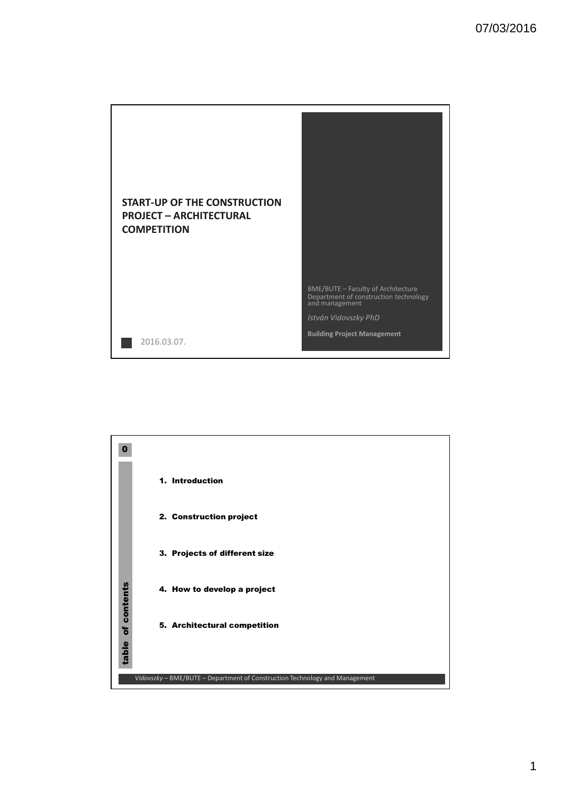



1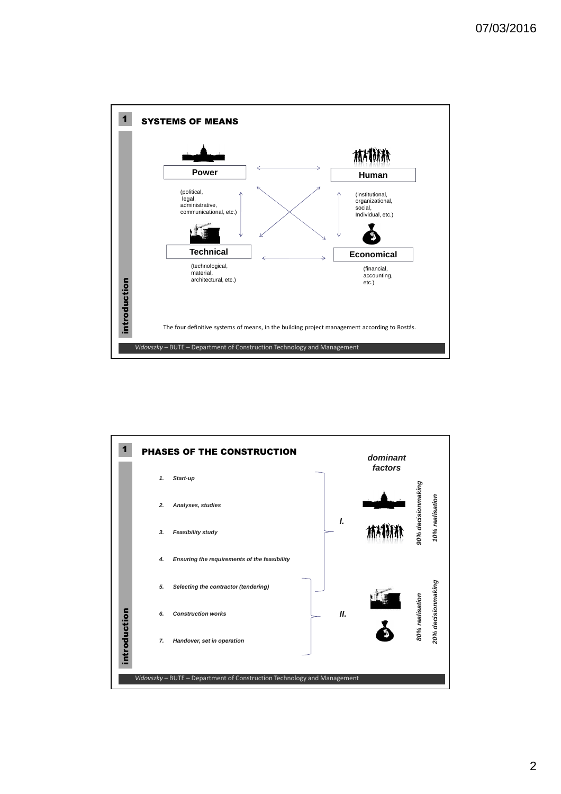

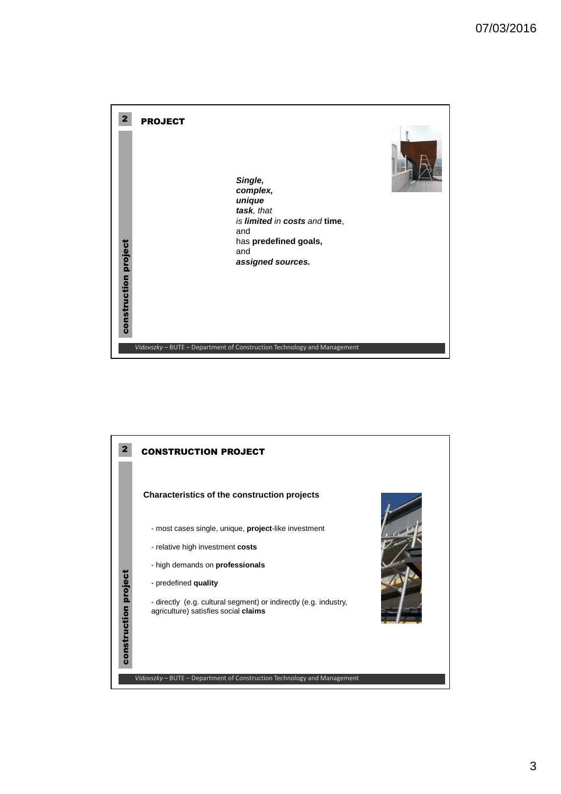

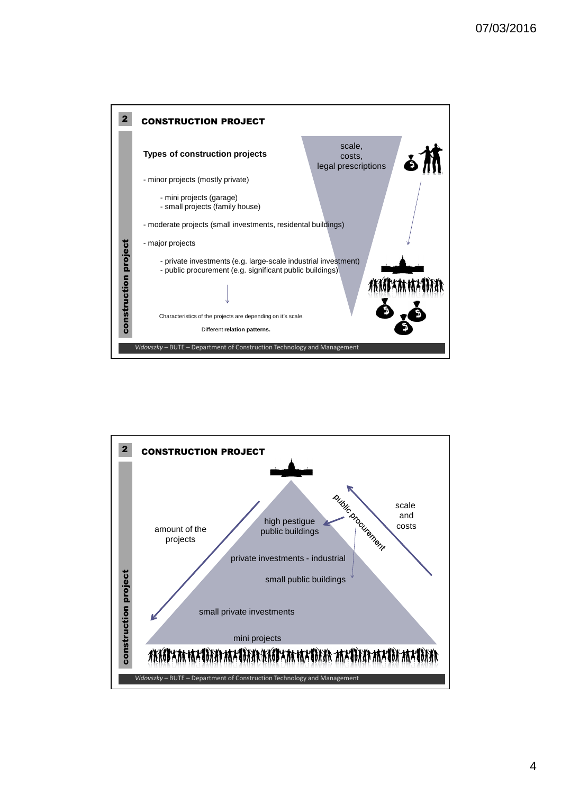

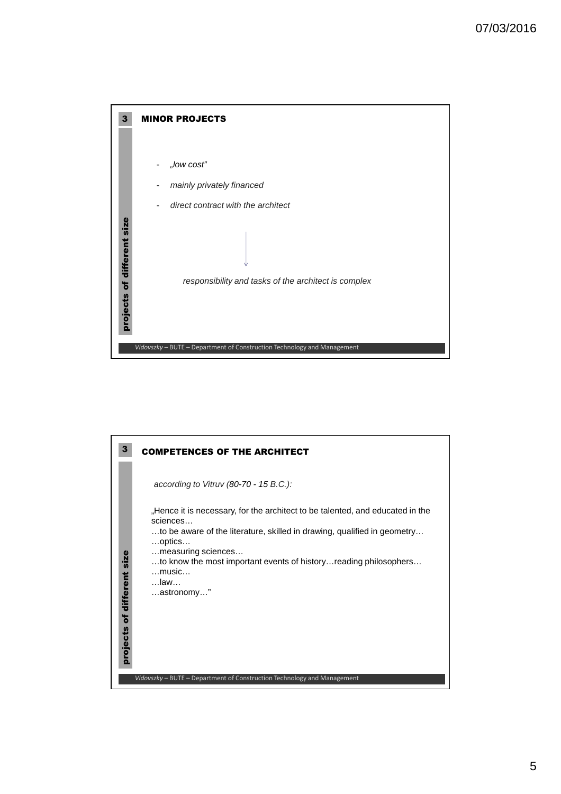

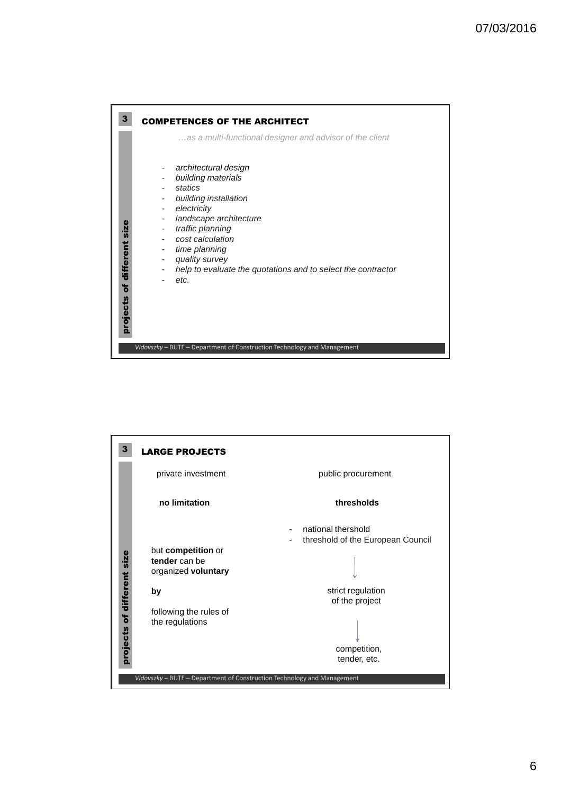

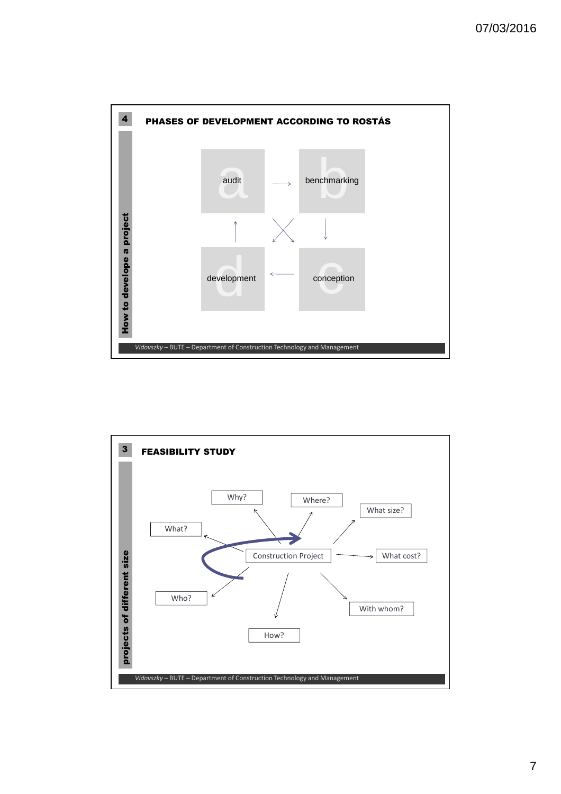

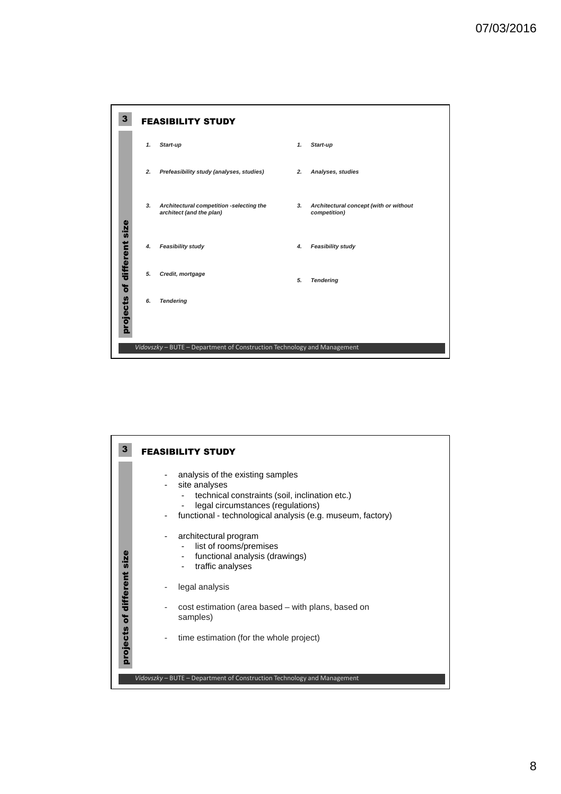

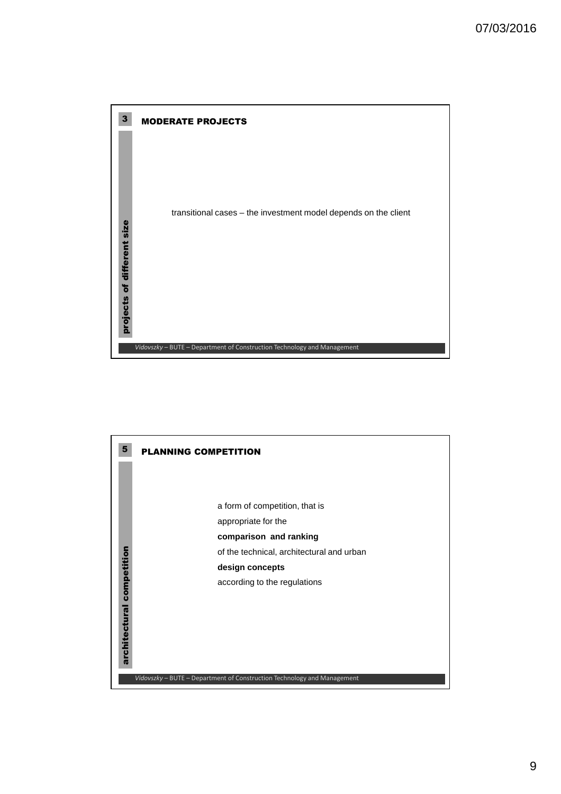

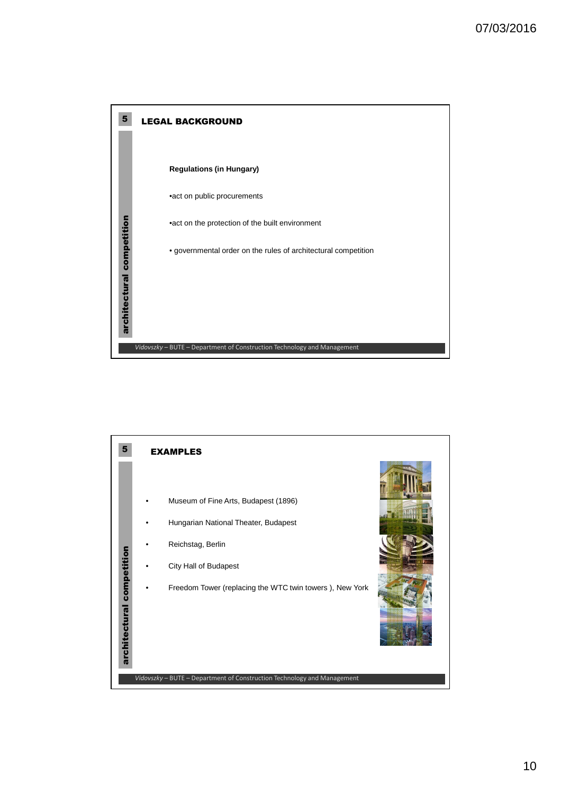

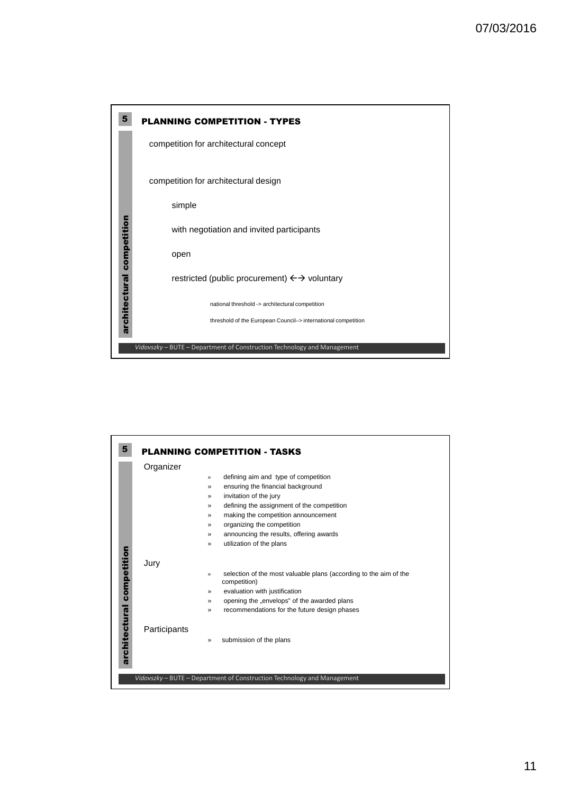

| 5             |              | <b>PLANNING COMPETITION - TASKS</b>                                                                |
|---------------|--------------|----------------------------------------------------------------------------------------------------|
|               | Organizer    |                                                                                                    |
|               |              | defining aim and type of competition<br>$\mathcal{P}$                                              |
|               |              | ensuring the financial background<br>$\rightarrow$                                                 |
|               |              | invitation of the jury<br>$\mathcal{P}$                                                            |
|               |              | defining the assignment of the competition<br>≫                                                    |
|               |              | making the competition announcement<br>$\rightarrow$                                               |
|               |              | organizing the competition<br>$\rightarrow$                                                        |
|               |              | announcing the results, offering awards<br>$\gg$                                                   |
|               |              | utilization of the plans<br>$\mathcal{P}$                                                          |
| competition   | Jury         | selection of the most valuable plans (according to the aim of the<br>$\mathcal{V}$<br>competition) |
|               |              | evaluation with justification<br>$\rightarrow$                                                     |
|               |              | opening the "envelops" of the awarded plans<br>≫                                                   |
|               |              | recommendations for the future design phases<br>≫                                                  |
| architectural | Participants | submission of the plans<br>»                                                                       |
|               |              | Vidovszky - BUTE - Department of Construction Technology and Management                            |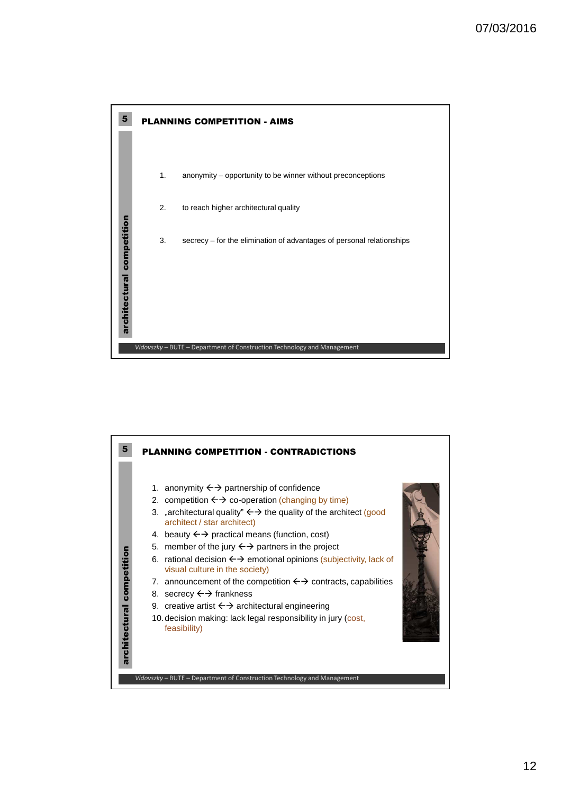

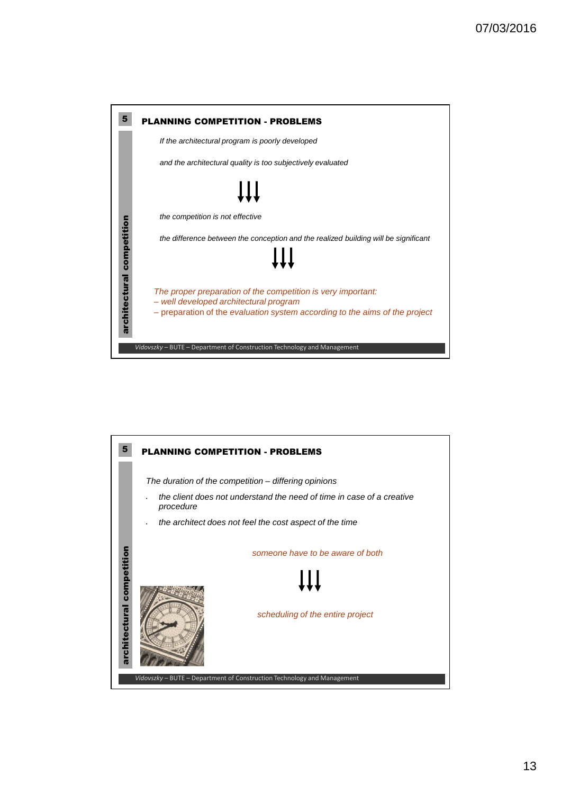

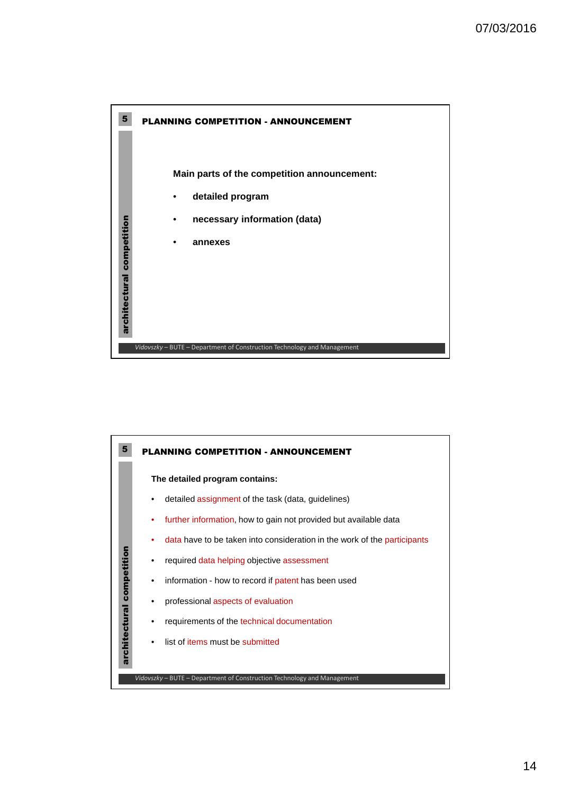

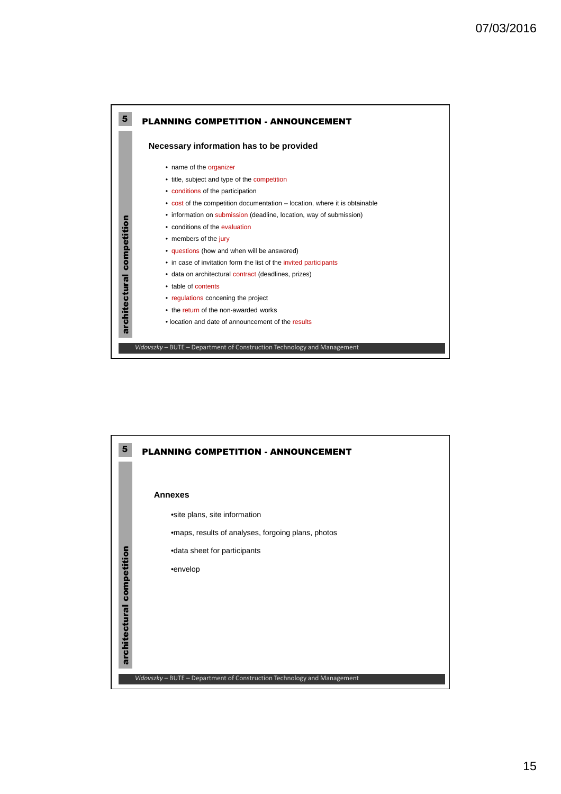

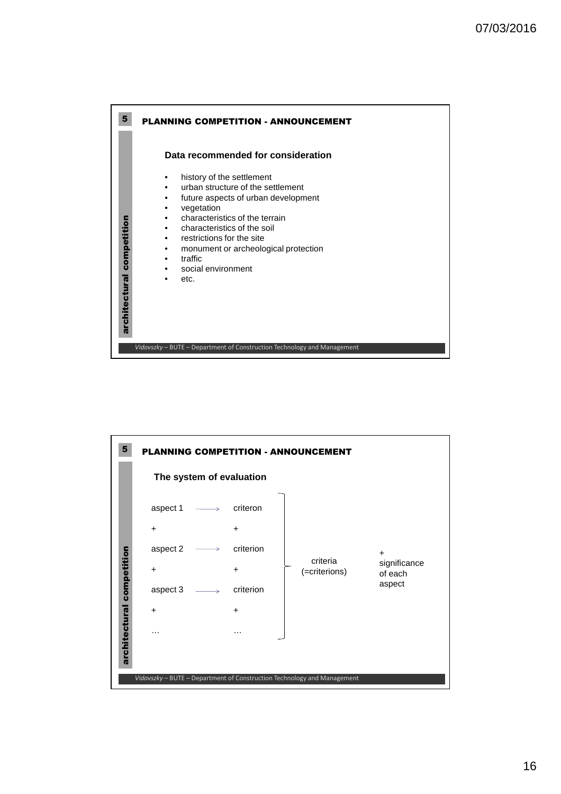

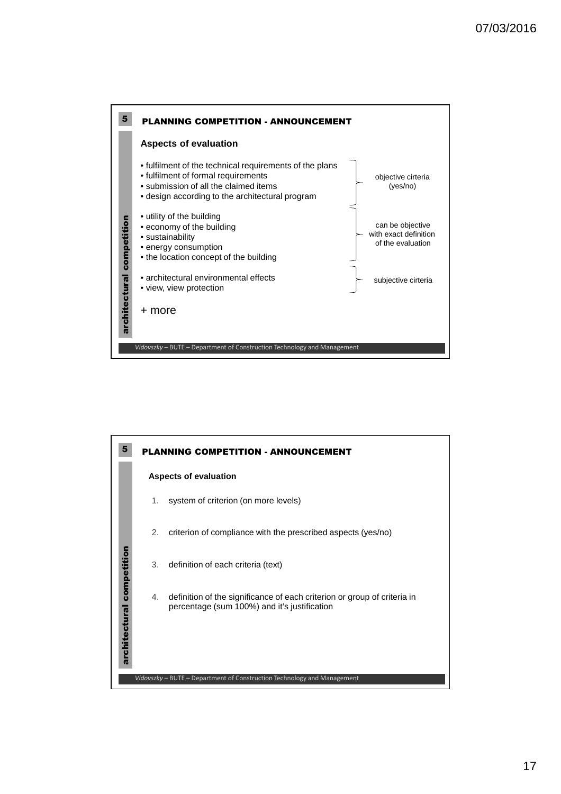